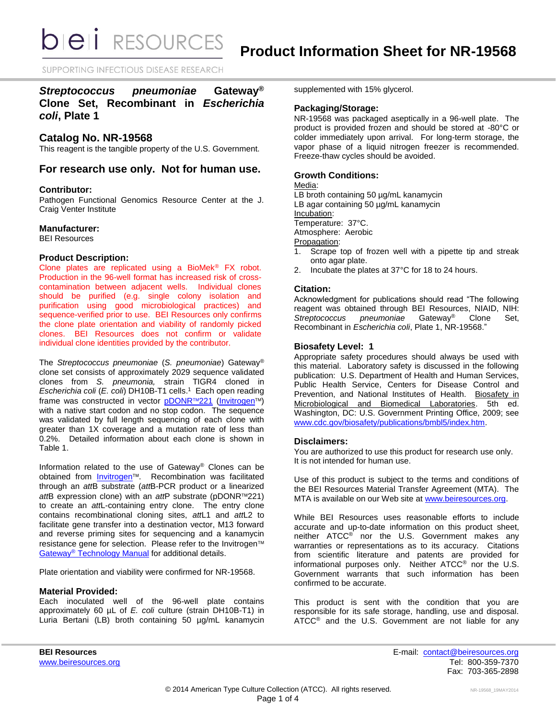**DIEI** RESOURCES

SUPPORTING INFECTIOUS DISEASE RESEARCH

## *Streptococcus pneumoniae* **Gateway® Clone Set, Recombinant in** *Escherichia coli***, Plate 1**

## **Catalog No. NR-19568**

This reagent is the tangible property of the U.S. Government.

## **For research use only. Not for human use.**

### **Contributor:**

Pathogen Functional Genomics Resource Center at the J. Craig Venter Institute

### **Manufacturer:**

BEI Resources

## **Product Description:**

Clone plates are replicated using a BioMek® FX robot. Production in the 96-well format has increased risk of crosscontamination between adjacent wells. Individual clones should be purified (e.g. single colony isolation and purification using good microbiological practices) and sequence-verified prior to use. BEI Resources only confirms the clone plate orientation and viability of randomly picked clones. BEI Resources does not confirm or validate individual clone identities provided by the contributor.

The *Streptococcus pneumoniae* (*S. pneumoniae*) Gateway® clone set consists of approximately 2029 sequence validated clones from *S. pneumonia,* strain TIGR4 cloned in *Escherichia coli* (*E. coli*) DH10B-T1 cells. 1 Each open reading frame was constructed in vector [pDONR](http://products.invitrogen.com/ivgn/product/12536017)™221 [\(Invitrogen](http://www.invitrogen.com/site/us/en/home/Products-and-Services/Applications/Cloning/Gateway-Cloning/GatewayC-Misc/Online-Seminars.html)™) with a native start codon and no stop codon. The sequence was validated by full length sequencing of each clone with greater than 1X coverage and a mutation rate of less than 0.2%. Detailed information about each clone is shown in Table 1.

Information related to the use of Gateway® Clones can be obtained from [Invitrogen](http://www.invitrogen.com/site/us/en/home/Products-and-Services/Applications/Cloning/Gateway-Cloning/GatewayC-Misc/Online-Seminars.html)<sup>™</sup>. Recombination was facilitated through an *att*B substrate (*att*B-PCR product or a linearized *att*B expression clone) with an *att*P substrate (pDONR™221) to create an *att*L-containing entry clone. The entry clone contains recombinational cloning sites, *att*L1 and *att*L2 to facilitate gene transfer into a destination vector, M13 forward and reverse priming sites for sequencing and a kanamycin resistance gene for selection. Please refer to the Invitrogen™ Gateway® [Technology Manual](http://tools.invitrogen.com/content/sfs/manuals/gatewayman.pdf) for additional details.

Plate orientation and viability were confirmed for NR-19568.

## **Material Provided:**

Each inoculated well of the 96-well plate contains approximately 60 µL of *E. coli* culture (strain DH10B-T1) in Luria Bertani (LB) broth containing 50 µg/mL kanamycin supplemented with 15% glycerol.

### **Packaging/Storage:**

NR-19568 was packaged aseptically in a 96-well plate. The product is provided frozen and should be stored at -80°C or colder immediately upon arrival. For long-term storage, the vapor phase of a liquid nitrogen freezer is recommended. Freeze-thaw cycles should be avoided.

## **Growth Conditions:**

## Media:

LB broth containing 50 µg/mL kanamycin LB agar containing 50 µg/mL kanamycin Incubation: Temperature: 37°C. Atmosphere: Aerobic Propagation: 1. Scrape top of frozen well with a pipette tip and streak onto agar plate.

2. Incubate the plates at 37°C for 18 to 24 hours.

### **Citation:**

Acknowledgment for publications should read "The following reagent was obtained through BEI Resources, NIAID, NIH: *Streptococcus pneumoniae* Gateway® Clone Set, Recombinant in *Escherichia coli*, Plate 1, NR-19568."

## **Biosafety Level: 1**

Appropriate safety procedures should always be used with this material. Laboratory safety is discussed in the following publication: U.S. Department of Health and Human Services, Public Health Service, Centers for Disease Control and Prevention, and National Institutes of Health. Biosafety in Microbiological and Biomedical Laboratories. 5th ed. Washington, DC: U.S. Government Printing Office, 2009; see [www.cdc.gov/biosafety/publications/bmbl5/index.htm.](http://www.cdc.gov/biosafety/publications/bmbl5/index.htm)

### **Disclaimers:**

You are authorized to use this product for research use only. It is not intended for human use.

Use of this product is subject to the terms and conditions of the BEI Resources Material Transfer Agreement (MTA). The MTA is available on our Web site at [www.beiresources.org.](http://www.beiresources.org/)

While BEI Resources uses reasonable efforts to include accurate and up-to-date information on this product sheet, neither ATCC® nor the U.S. Government makes any warranties or representations as to its accuracy. Citations from scientific literature and patents are provided for informational purposes only. Neither ATCC® nor the U.S. Government warrants that such information has been confirmed to be accurate.

This product is sent with the condition that you are responsible for its safe storage, handling, use and disposal. ATCC® and the U.S. Government are not liable for any

**BEI Resources** E-mail: [contact@beiresources.org](mailto:contact@beiresources.org) [www.beiresources.org](http://www.beiresources.org/) **Tel: 800-359-7370** Fax: 703-365-2898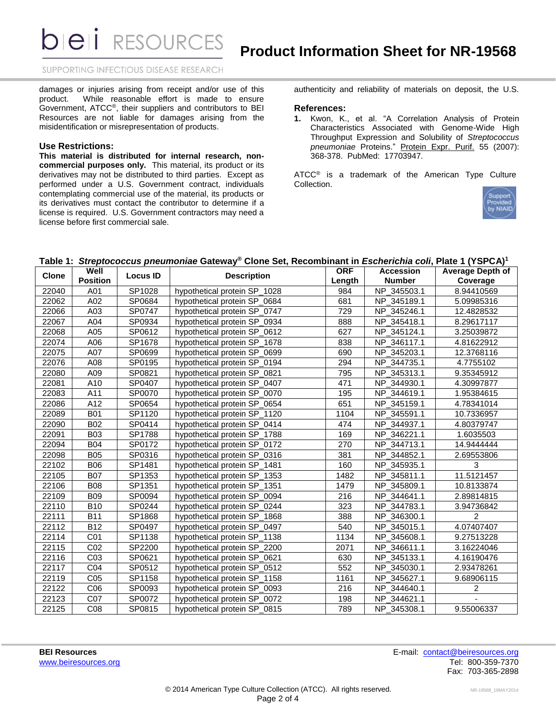**DIEII** RESOURCES

SUPPORTING INFECTIOUS DISEASE RESEARCH

damages or injuries arising from receipt and/or use of this product. While reasonable effort is made to ensure Government, ATCC®, their suppliers and contributors to BEI Resources are not liable for damages arising from the misidentification or misrepresentation of products.

#### **Use Restrictions:**

**This material is distributed for internal research, noncommercial purposes only.** This material, its product or its derivatives may not be distributed to third parties. Except as performed under a U.S. Government contract, individuals contemplating commercial use of the material, its products or its derivatives must contact the contributor to determine if a license is required. U.S. Government contractors may need a license before first commercial sale.

authenticity and reliability of materials on deposit, the U.S.

## **References:**

**1.** Kwon, K., et al. "A Correlation Analysis of Protein Characteristics Associated with Genome-Wide High Throughput Expression and Solubility of *Streptococcus pneumoniae* Proteins." Protein Expr. Purif. 55 (2007): 368-378. PubMed: 17703947.

ATCC<sup>®</sup> is a trademark of the American Type Culture Collection.



#### **Table 1:** *Streptococcus pneumoniae* **Gateway® Clone Set, Recombinant in** *Escherichia coli***, Plate 1 (YSPCA) 1**

| <b>Clone</b> | Well<br><b>Position</b> | <b>Locus ID</b> | <b>Description</b>           | <b>ORF</b> | <b>Accession</b> | <b>Average Depth of</b> |
|--------------|-------------------------|-----------------|------------------------------|------------|------------------|-------------------------|
|              |                         |                 |                              | Length     | <b>Number</b>    | Coverage                |
| 22040        | A01                     | SP1028          | hypothetical protein SP_1028 | 984        | NP_345503.1      | 8.94410569              |
| 22062        | A02                     | SP0684          | hypothetical protein SP_0684 | 681        | NP_345189.1      | 5.09985316              |
| 22066        | A03                     | SP0747          | hypothetical protein SP 0747 | 729        | NP_345246.1      | 12.4828532              |
| 22067        | A04                     | SP0934          | hypothetical protein SP_0934 | 888        | NP_345418.1      | 8.29617117              |
| 22068        | A05                     | SP0612          | hypothetical protein SP 0612 | 627        | NP 345124.1      | 3.25039872              |
| 22074        | A06                     | SP1678          | hypothetical protein SP 1678 | 838        | NP_346117.1      | 4.81622912              |
| 22075        | A07                     | SP0699          | hypothetical protein SP_0699 | 690        | NP_345203.1      | 12.3768116              |
| 22076        | A08                     | SP0195          | hypothetical protein SP 0194 | 294        | NP 344735.1      | 4.7755102               |
| 22080        | A09                     | SP0821          | hypothetical protein SP_0821 | 795        | NP_345313.1      | 9.35345912              |
| 22081        | A10                     | SP0407          | hypothetical protein SP_0407 | 471        | NP 344930.1      | 4.30997877              |
| 22083        | A11                     | SP0070          | hypothetical protein SP_0070 | 195        | NP_344619.1      | 1.95384615              |
| 22086        | A12                     | SP0654          | hypothetical protein SP_0654 | 651        | NP 345159.1      | 4.78341014              |
| 22089        | <b>B01</b>              | SP1120          | hypothetical protein SP_1120 | 1104       | NP_345591.1      | 10.7336957              |
| 22090        | <b>B02</b>              | SP0414          | hypothetical protein SP_0414 | 474        | NP_344937.1      | 4.80379747              |
| 22091        | <b>B03</b>              | SP1788          | hypothetical protein SP 1788 | 169        | NP 346221.1      | 1.6035503               |
| 22094        | <b>B04</b>              | SP0172          | hypothetical protein SP 0172 | 270        | NP 344713.1      | 14.9444444              |
| 22098        | <b>B05</b>              | SP0316          | hypothetical protein SP_0316 | 381        | NP 344852.1      | 2.69553806              |
| 22102        | <b>B06</b>              | SP1481          | hypothetical protein SP_1481 | 160        | NP_345935.1      | 3                       |
| 22105        | <b>B07</b>              | SP1353          | hypothetical protein SP 1353 | 1482       | NP_345811.1      | 11.5121457              |
| 22106        | <b>B08</b>              | SP1351          | hypothetical protein SP 1351 | 1479       | NP_345809.1      | 10.8133874              |
| 22109        | <b>B09</b>              | SP0094          | hypothetical protein SP 0094 | 216        | NP 344641.1      | 2.89814815              |
| 22110        | <b>B10</b>              | SP0244          | hypothetical protein SP_0244 | 323        | NP 344783.1      | 3.94736842              |
| 22111        | <b>B11</b>              | SP1868          | hypothetical protein SP_1868 | 388        | NP_346300.1      | $\overline{2}$          |
| 22112        | <b>B12</b>              | SP0497          | hypothetical protein SP_0497 | 540        | NP_345015.1      | 4.07407407              |
| 22114        | C <sub>01</sub>         | SP1138          | hypothetical protein SP 1138 | 1134       | NP 345608.1      | 9.27513228              |
| 22115        | CO <sub>2</sub>         | SP2200          | hypothetical protein SP 2200 | 2071       | NP 346611.1      | 3.16224046              |
| 22116        | CO <sub>3</sub>         | SP0621          | hypothetical protein SP 0621 | 630        | NP_345133.1      | 4.16190476              |
| 22117        | CO <sub>4</sub>         | SP0512          | hypothetical protein SP_0512 | 552        | NP_345030.1      | 2.93478261              |
| 22119        | CO <sub>5</sub>         | SP1158          | hypothetical protein SP_1158 | 1161       | NP_345627.1      | 9.68906115              |
| 22122        | CO6                     | SP0093          | hypothetical protein SP_0093 | 216        | NP_344640.1      | 2                       |
| 22123        | C07                     | SP0072          | hypothetical protein SP 0072 | 198        | NP 344621.1      |                         |
| 22125        | C <sub>08</sub>         | SP0815          | hypothetical protein SP 0815 | 789        | NP 345308.1      | 9.55006337              |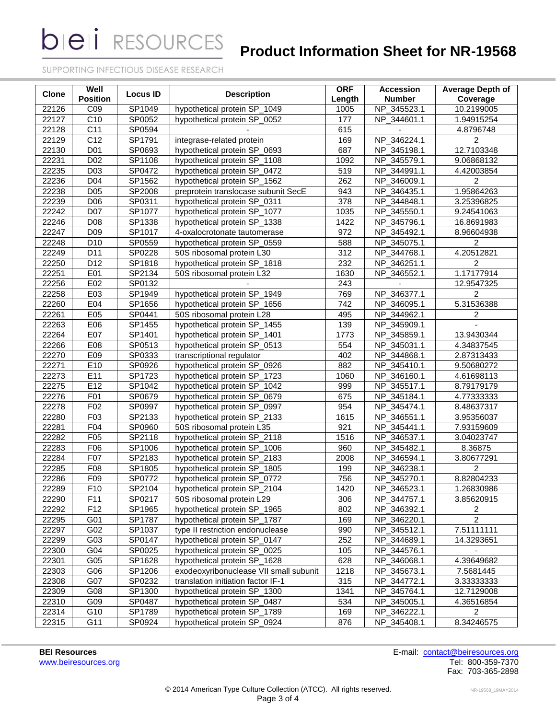**bieli** RESOURCES

## **Product Information Sheet for NR-19568**

SUPPORTING INFECTIOUS DISEASE RESEARCH

| Clone | Well<br><b>Position</b> | <b>Locus ID</b> | <b>Description</b>                     | <b>ORF</b><br>Length | <b>Accession</b><br><b>Number</b> | <b>Average Depth of</b><br>Coverage |
|-------|-------------------------|-----------------|----------------------------------------|----------------------|-----------------------------------|-------------------------------------|
| 22126 | CO <sub>9</sub>         | SP1049          | hypothetical protein SP_1049           | 1005                 | NP_345523.1                       | 10.2199005                          |
| 22127 | $\overline{C10}$        | SP0052          | hypothetical protein SP_0052           | 177                  | NP_344601.1                       | 1.94915254                          |
| 22128 | C <sub>11</sub>         | SP0594          |                                        | 615                  |                                   | 4.8796748                           |
| 22129 | C12                     | SP1791          | integrase-related protein              | 169                  | NP_346224.1                       | $\overline{c}$                      |
| 22130 | D <sub>01</sub>         | SP0693          | hypothetical protein SP_0693           | 687                  | NP_345198.1                       | 12.7103348                          |
| 22231 | D <sub>02</sub>         | SP1108          | hypothetical protein SP_1108           | 1092                 | 345579.1<br>NP.                   | 9.06868132                          |
| 22235 | D03                     | SP0472          | hypothetical protein SP_0472           | 519                  | NP_344991.1                       | 4.42003854                          |
| 22236 | D04                     | SP1562          | hypothetical protein SP_1562           | 262                  | NP_346009.1                       | $\overline{2}$                      |
| 22238 | D05                     | SP2008          | preprotein translocase subunit SecE    | 943                  | NP_346435.1                       | 1.95864263                          |
| 22239 | D06                     | SP0311          | hypothetical protein SP_0311           | 378                  | NP_344848.1                       | 3.25396825                          |
| 22242 | D07                     | SP1077          | hypothetical protein SP_1077           | 1035                 | NP_345550.1                       | 9.24541063                          |
| 22246 | D <sub>08</sub>         | SP1338          | hypothetical protein SP_1338           | 1422                 | NP_345796.1                       | 16.8691983                          |
| 22247 | D <sub>09</sub>         | SP1017          | 4-oxalocrotonate tautomerase           | 972                  | NP_345492.1                       | 8.96604938                          |
| 22248 | D <sub>10</sub>         | SP0559          | hypothetical protein SP_0559           | 588                  | NP_345075.1                       | 2                                   |
| 22249 | D11                     | SP0228          | 50S ribosomal protein L30              | 312                  | NP_344768.1                       | 4.20512821                          |
| 22250 | D12                     | SP1818          | hypothetical protein SP_1818           | 232                  | NP_346251.1                       | 2                                   |
| 22251 | E01                     | SP2134          | 50S ribosomal protein L32              | 1630                 | NP_346552.1                       | 1.17177914                          |
| 22256 | E02                     | SP0132          |                                        | 243                  |                                   | 12.9547325                          |
| 22258 | E03                     | SP1949          | hypothetical protein SP_1949           | 769                  | NP_346377.1                       | $\overline{c}$                      |
| 22260 | E04                     | SP1656          | hypothetical protein SP_1656           | 742                  | NP_346095.1                       | 5.31536388                          |
| 22261 | E05                     | SP0441          | 50S ribosomal protein L28              | 495                  | NP_344962.1                       | $\overline{2}$                      |
| 22263 | E06                     | SP1455          | hypothetical protein SP_1455           | 139                  | NP_345909.1                       |                                     |
| 22264 | E07                     | SP1401          | hypothetical protein SP_1401           | 1773                 | NP_345859.1                       | 13.9430344                          |
| 22266 | E08                     | SP0513          | hypothetical protein SP_0513           | 554                  | NP_345031.1                       | 4.34837545                          |
| 22270 | E09                     | SP0333          | transcriptional regulator              | 402                  | NP_344868.1                       | 2.87313433                          |
| 22271 | E10                     | SP0926          | hypothetical protein SP_0926           | 882                  | NP_345410.1                       | 9.50680272                          |
| 22273 | E11                     | SP1723          | hypothetical protein SP_1723           | 1060                 | NP_346160.1                       | 4.61698113                          |
| 22275 | E12                     | SP1042          | hypothetical protein SP_1042           | 999                  | NP_345517.1                       | 8.79179179                          |
| 22276 | F01                     | SP0679          | hypothetical protein SP_0679           | 675                  | NP_345184.1                       | 4.77333333                          |
| 22278 | F02                     | SP0997          | hypothetical protein SP_0997           | 954                  | NP_345474.1                       | 8.48637317                          |
| 22280 | F03                     | SP2133          | hypothetical protein SP_2133           | 1615                 | NP_346551.1                       | 3.95356037                          |
| 22281 | F04                     | SP0960          | 50S ribosomal protein L35              | 921                  | NP_345441.1                       | 7.93159609                          |
| 22282 | F05                     | SP2118          | hypothetical protein SP_2118           | 1516                 | NP_346537.1                       | 3.04023747                          |
| 22283 | F06                     | SP1006          | hypothetical protein SP_1006           | 960                  | NP_345482.1                       | 8.36875                             |
| 22284 | F07                     | SP2183          | hypothetical protein SP_2183           | 2008                 | NP_346594.1                       | 3.80677291                          |
| 22285 | F08                     | SP1805          | hypothetical protein SP_1805           | 199                  | NP 346238.1                       | $\overline{2}$                      |
| 22286 | F09                     | SP0772          | hypothetical protein SP_0772           | 756                  | NP_345270.1                       | 8.82804233                          |
| 22289 | F10                     | SP2104          | hypothetical protein SP_2104           | 1420                 | NP_346523.1                       | 1.26830986                          |
| 22290 | F11                     | SP0217          | 50S ribosomal protein L29              | 306                  | NP_344757.1                       | 3.85620915                          |
| 22292 | F <sub>12</sub>         | SP1965          | hypothetical protein SP_1965           | 802                  | NP_346392.1                       | $\overline{2}$                      |
| 22295 | G01                     | SP1787          | hypothetical protein SP_1787           | 169                  | NP_346220.1                       | $\overline{2}$                      |
| 22297 | G02                     | SP1037          | type II restriction endonuclease       | 990                  | NP_345512.1                       | 7.51111111                          |
| 22299 | G03                     | SP0147          | hypothetical protein SP_0147           | 252                  | NP_344689.1                       | 14.3293651                          |
| 22300 | G04                     | SP0025          | hypothetical protein SP_0025           | 105                  | NP_344576.1                       |                                     |
| 22301 | G05                     | SP1628          | hypothetical protein SP_1628           | 628                  | NP_346068.1                       | 4.39649682                          |
| 22303 | G06                     | SP1206          | exodeoxyribonuclease VII small subunit | 1218                 | NP_345673.1                       | 7.5681445                           |
| 22308 | G07                     | SP0232          | translation initiation factor IF-1     | 315                  | NP_344772.1                       | 3.33333333                          |
| 22309 | G08                     | SP1300          | hypothetical protein SP_1300           | 1341                 | NP_345764.1                       | 12.7129008                          |
| 22310 | G09                     | SP0487          | hypothetical protein SP_0487           | 534                  | NP_345005.1                       | 4.36516854                          |
| 22314 | G10                     | SP1789          | hypothetical protein SP_1789           |                      |                                   | $\overline{2}$                      |
|       | G11                     | SP0924          |                                        | 169<br>876           | NP_346222.1                       |                                     |
| 22315 |                         |                 | hypothetical protein SP_0924           |                      | NP_345408.1                       | 8.34246575                          |

**BEI Resources**<br>
With the intervals of the contact of the contact of the contact of the contact of the contact of the contact of the contact of the contact of the contact of the contact of the contact of the contact of the Fax: 703-365-2898